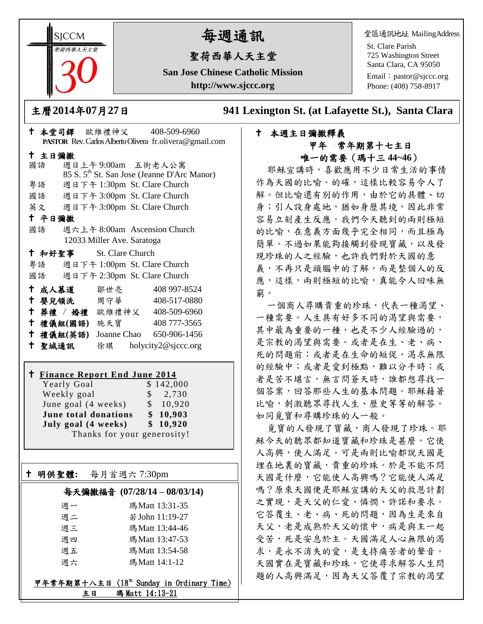**SICCM** 智荷西華人天主堂

# 每週通訊

## 聖荷西華人天主堂

**San Jose Chinese Catholic Mission http://www.sjccc.org**

堂區通訊地址 MailingAddress

St. Clare Parish 725 Washington Street Santa Clara, CA 95050

Email: [pastor@sjccc.org](mailto:pastor@sjccc.org) Phone: (408) 758-8917

主曆**2014**年**07**月**27**日 **941 Lexington St. (at Lafayette St.), Santa Clara** 

#### 本堂司鐸 歐維禮神父 408-509-6960 **PASTOR** Rev. Carlos Alberto Olivera fr.olivera@gmail.com 主日彌撒 國語 週日上午 9:00am 五街老人公寓 85 S. 5th St. San Jose (Jeanne D'Arc Manor) 粵語 週日下午 1:30pm St. Clare Church 國語 週日下午 3:00pm St. Clare Church 英文 週日下午 3:00pm St. Clare Church 平日彌撒 國語 週六上午 8:00am Ascension Church 12033 Miller Ave. Saratoga 和好聖事 St. Clare Church 粵語 週日下午 1:00pm St. Clare Church 國語 週日下午 2:30pm St. Clare Church 成人慕道 鄒世亮 408 997-8524 十 嬰兒領洗 周守華 408-517-0880 葬禮 / 婚禮 歐維禮神父 408-509-6960 禮儀組**(**國語**)** 施天寶 408 777-3565 禮儀組**(**英語**)** Joanne Chao 650-906-1456 聖城通訊 徐琪 holycity2@sjccc.org

#### **Finance Report End June 2014**

Yearly Goal \$142,000 Weekly goal  $\qquad$  \$ 2,730 June goal  $(4 \text{ weeks})$  \$ 10,920 **June total donations \$ 10,903 July goal (4 weeks) \$ 10,920** Thanks for your generosity!

明供聖體**:** 每月首週六 7:30pm

Ξ

### 每天彌撒福音 **(07/28/14 – 08/03/14)**

| 週一 | 瑪Matt 13:31-35  |
|----|-----------------|
| 週二 | 若 John 11:19-27 |
| 週三 | 瑪Matt 13:44-46  |
| 调四 | 瑪Matt 13:47-53  |
| 週五 | 瑪Matt 13:54-58  |
| 调六 | 瑪Matt 14:1-12   |

#### 甲年常年期第十八主日 (18th Sunday in Ordinary Time) 主日 瑪 Matt 14:13-21

#### 本週主日彌撒釋義 甲年 常年期第十七主日 唯一的需要(瑪十三 **44~46**)

耶穌宣講時,喜歡應用不少日常生活的事情 作為天國的比喻。的確,這樣比較容易令人了 解。但比喻還有別的作用,由於它的具體、切 身;引人設身處地,猶如身歷其境,因此非常 容易立刻產生反應。我們今天聽到的兩則極短 的比喻,在意義方面幾乎完全相同,而且極為 簡單。不過如果能夠接觸到發現寶藏,以及發 現珍珠的人之經驗,也許我們對於天國的意 義,不再只是頭腦中的了解,而是整個人的反 應,這樣,兩則極短的比喻,真能令人回味無 窮。

一個商人尋購貴重的珍珠,代表一種渴望、 一種需要。人生具有好多不同的渴望與需要, 其中最為重要的一種,也是不少人經驗過的, 是宗教的渴望與需要。或者是在生、老、病、 死的問題前;或者是在生命的短促,渴求無限 的經驗中;或者是愛到極點,難以分手時;或 者是苦不堪言,無言問蒼天時,誰都想尋找一 個答案,回答那些人生的基本問題。耶穌藉著 比喻,刺激聽眾尋找人生、歷史等等的解答。 如同覓寶和尋購珍珠的人一般。

覓寶的人發現了寶藏,商人發現了珍珠。耶 穌今天的聽眾都知道寶藏和珍珠是甚麼。它使 人高興,使人滿足。可是兩則比喻都說天國是 埋在地裏的寶藏,貴重的珍珠。於是不能不問 天國是什麼,它能使人高興嗎?它能使人滿足 嗎?原來天國便是耶穌宣講的天父的救恩計劃 之實現,是天父的仁愛、憐憫、許諾和要求。 它答覆生、老、病、死的問題,因為生是來自 天父,老是成熟於天父的懷中,病是與主一起 受苦,死是安息於主。天國滿足人心無限的渴 求,是永不消失的愛,是支持痛苦者的聲音。 天國實在是寶藏和珍珠,它使尋求解答人生問 題的人高興滿足,因為天父答覆了宗教的渴望